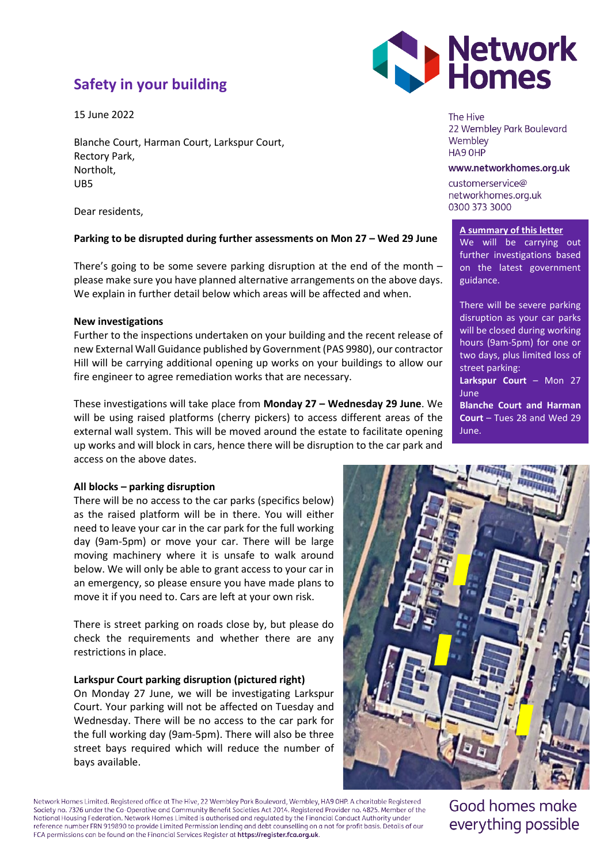# **Safety in your building**

15 June 2022

Blanche Court, Harman Court, Larkspur Court, Rectory Park, Northolt, UB5

Dear residents,

## **Parking to be disrupted during further assessments on Mon 27 – Wed 29 June**

There's going to be some severe parking disruption at the end of the month – please make sure you have planned alternative arrangements on the above days. We explain in further detail below which areas will be affected and when.

## **New investigations**

Further to the inspections undertaken on your building and the recent release of new External Wall Guidance published by Government (PAS 9980), our contractor Hill will be carrying additional opening up works on your buildings to allow our fire engineer to agree remediation works that are necessary.

These investigations will take place from **Monday 27 – Wednesday 29 June**. We will be using raised platforms (cherry pickers) to access different areas of the external wall system. This will be moved around the estate to facilitate opening up works and will block in cars, hence there will be disruption to the car park and access on the above dates.

## **All blocks – parking disruption**

There will be no access to the car parks (specifics below) as the raised platform will be in there. You will either need to leave your car in the car park for the full working day (9am-5pm) or move your car. There will be large moving machinery where it is unsafe to walk around below. We will only be able to grant access to your car in an emergency, so please ensure you have made plans to move it if you need to. Cars are left at your own risk.

There is street parking on roads close by, but please do check the requirements and whether there are any restrictions in place.

## **Larkspur Court parking disruption (pictured right)**

On Monday 27 June, we will be investigating Larkspur Court. Your parking will not be affected on Tuesday and Wednesday. There will be no access to the car park for the full working day (9am-5pm). There will also be three street bays required which will reduce the number of bays available.



The Hive 22 Wembley Park Boulevard Wembley HA9 OHP

www.networkhomes.org.uk

customerservice@ networkhomes.org.uk 0300 373 3000

#### **A summary of this letter**

We will be carrying out further investigations based on the latest government guidance.

There will be severe parking disruption as your car parks will be closed during working hours (9am-5pm) for one or two days, plus limited loss of street parking:

**Larkspur Court** – Mon 27 June **Blanche Court and Harman** 

**Court** – Tues 28 and Wed 29 June.



Network Homes Limited. Registered office at The Hive, 22 Wembley Park Boulevard, Wembley, HA9 OHP. A charitable Registered Society no. 7326 under the Co-Operative and Community Benefit Societies Act 2014. Registered Provider no. 4825. Member of the National Housing Federation. Network Homes Limited is authorised and regulated by the Financial Conduct Authority under reference number FRN 919890 to provide Limited Permission lending and debt counselling on a not for profit basis. Details of our FCA permissions can be found on the Financial Services Register at https://register.fca.org.uk.

Good homes make everything possible